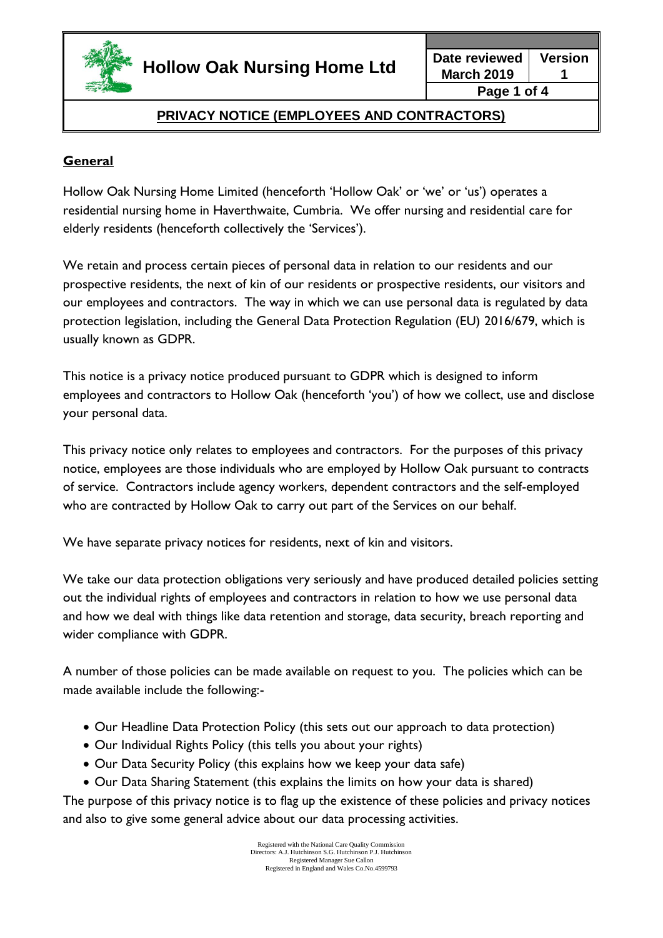

**March 2019 Version 1 Page 1 of 4**

## **PRIVACY NOTICE (EMPLOYEES AND CONTRACTORS)**

### **General**

Hollow Oak Nursing Home Limited (henceforth 'Hollow Oak' or 'we' or 'us') operates a residential nursing home in Haverthwaite, Cumbria. We offer nursing and residential care for elderly residents (henceforth collectively the 'Services').

We retain and process certain pieces of personal data in relation to our residents and our prospective residents, the next of kin of our residents or prospective residents, our visitors and our employees and contractors. The way in which we can use personal data is regulated by data protection legislation, including the General Data Protection Regulation (EU) 2016/679, which is usually known as GDPR.

This notice is a privacy notice produced pursuant to GDPR which is designed to inform employees and contractors to Hollow Oak (henceforth 'you') of how we collect, use and disclose your personal data.

This privacy notice only relates to employees and contractors. For the purposes of this privacy notice, employees are those individuals who are employed by Hollow Oak pursuant to contracts of service. Contractors include agency workers, dependent contractors and the self-employed who are contracted by Hollow Oak to carry out part of the Services on our behalf.

We have separate privacy notices for residents, next of kin and visitors.

We take our data protection obligations very seriously and have produced detailed policies setting out the individual rights of employees and contractors in relation to how we use personal data and how we deal with things like data retention and storage, data security, breach reporting and wider compliance with GDPR.

A number of those policies can be made available on request to you. The policies which can be made available include the following:-

- Our Headline Data Protection Policy (this sets out our approach to data protection)
- Our Individual Rights Policy (this tells you about your rights)
- Our Data Security Policy (this explains how we keep your data safe)
- Our Data Sharing Statement (this explains the limits on how your data is shared)

The purpose of this privacy notice is to flag up the existence of these policies and privacy notices and also to give some general advice about our data processing activities.

> Registered with the National Care Quality Commission Directors: A.J. Hutchinson S.G. Hutchinson P.J. Hutchinson Registered Manager Sue Callon Registered in England and Wales Co.No.4599793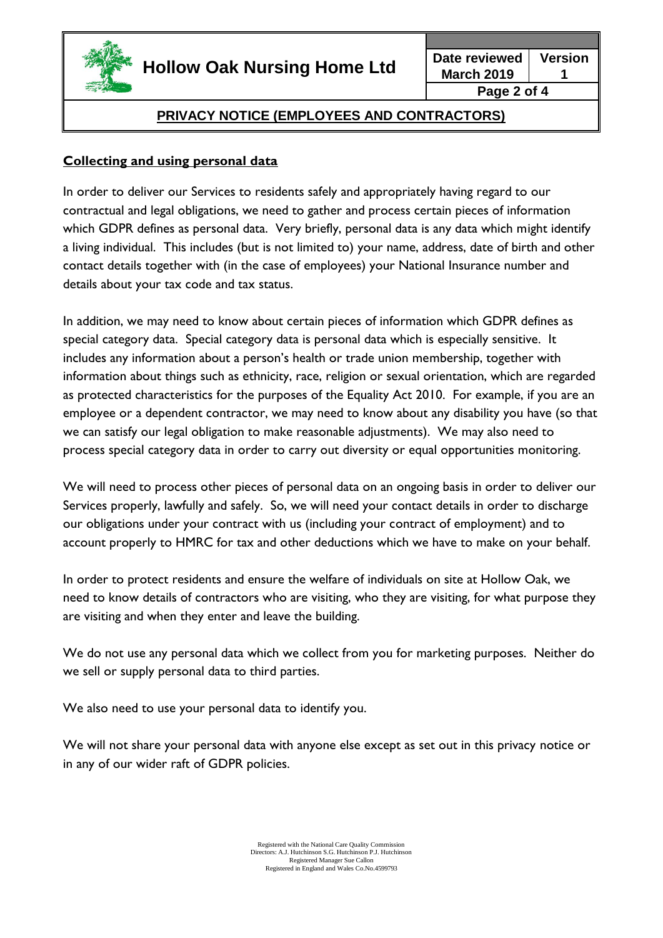

**March 2019 Version 1 Page 2 of 4**

## **PRIVACY NOTICE (EMPLOYEES AND CONTRACTORS)**

### **Collecting and using personal data**

In order to deliver our Services to residents safely and appropriately having regard to our contractual and legal obligations, we need to gather and process certain pieces of information which GDPR defines as personal data. Very briefly, personal data is any data which might identify a living individual. This includes (but is not limited to) your name, address, date of birth and other contact details together with (in the case of employees) your National Insurance number and details about your tax code and tax status.

In addition, we may need to know about certain pieces of information which GDPR defines as special category data. Special category data is personal data which is especially sensitive. It includes any information about a person's health or trade union membership, together with information about things such as ethnicity, race, religion or sexual orientation, which are regarded as protected characteristics for the purposes of the Equality Act 2010. For example, if you are an employee or a dependent contractor, we may need to know about any disability you have (so that we can satisfy our legal obligation to make reasonable adjustments). We may also need to process special category data in order to carry out diversity or equal opportunities monitoring.

We will need to process other pieces of personal data on an ongoing basis in order to deliver our Services properly, lawfully and safely. So, we will need your contact details in order to discharge our obligations under your contract with us (including your contract of employment) and to account properly to HMRC for tax and other deductions which we have to make on your behalf.

In order to protect residents and ensure the welfare of individuals on site at Hollow Oak, we need to know details of contractors who are visiting, who they are visiting, for what purpose they are visiting and when they enter and leave the building.

We do not use any personal data which we collect from you for marketing purposes. Neither do we sell or supply personal data to third parties.

We also need to use your personal data to identify you.

We will not share your personal data with anyone else except as set out in this privacy notice or in any of our wider raft of GDPR policies.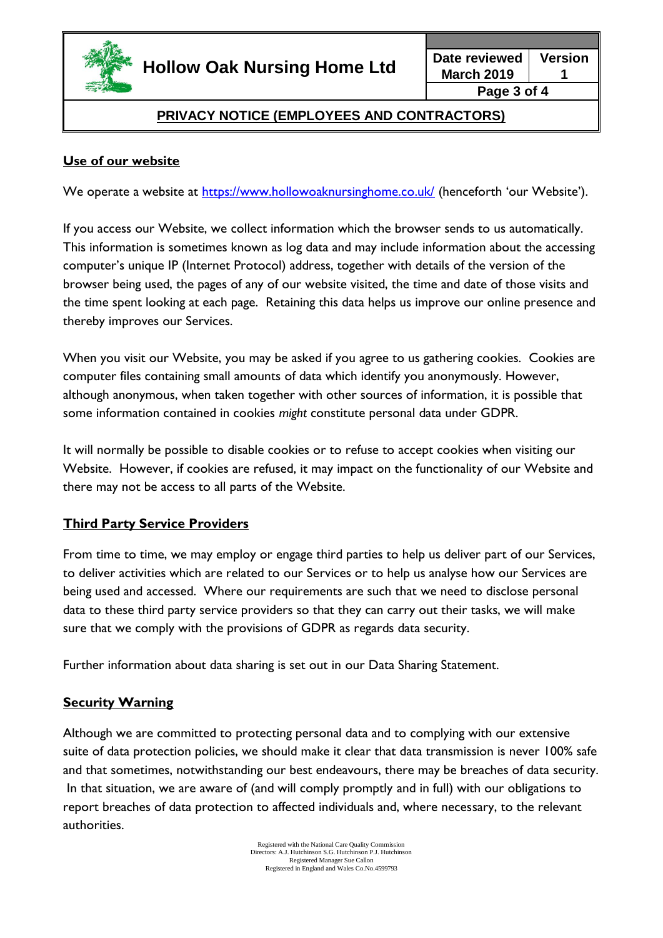

# **PRIVACY NOTICE (EMPLOYEES AND CONTRACTORS)**

### **Use of our website**

We operate a website at<https://www.hollowoaknursinghome.co.uk/> (henceforth 'our Website').

If you access our Website, we collect information which the browser sends to us automatically. This information is sometimes known as log data and may include information about the accessing computer's unique IP (Internet Protocol) address, together with details of the version of the browser being used, the pages of any of our website visited, the time and date of those visits and the time spent looking at each page. Retaining this data helps us improve our online presence and thereby improves our Services.

When you visit our Website, you may be asked if you agree to us gathering cookies. Cookies are computer files containing small amounts of data which identify you anonymously. However, although anonymous, when taken together with other sources of information, it is possible that some information contained in cookies *might* constitute personal data under GDPR.

It will normally be possible to disable cookies or to refuse to accept cookies when visiting our Website. However, if cookies are refused, it may impact on the functionality of our Website and there may not be access to all parts of the Website.

#### **Third Party Service Providers**

From time to time, we may employ or engage third parties to help us deliver part of our Services, to deliver activities which are related to our Services or to help us analyse how our Services are being used and accessed. Where our requirements are such that we need to disclose personal data to these third party service providers so that they can carry out their tasks, we will make sure that we comply with the provisions of GDPR as regards data security.

Further information about data sharing is set out in our Data Sharing Statement.

#### **Security Warning**

Although we are committed to protecting personal data and to complying with our extensive suite of data protection policies, we should make it clear that data transmission is never 100% safe and that sometimes, notwithstanding our best endeavours, there may be breaches of data security. In that situation, we are aware of (and will comply promptly and in full) with our obligations to report breaches of data protection to affected individuals and, where necessary, to the relevant authorities.

> Registered with the National Care Quality Commission Directors: A.J. Hutchinson S.G. Hutchinson P.J. Hutchinson Registered Manager Sue Callon Registered in England and Wales Co.No.4599793